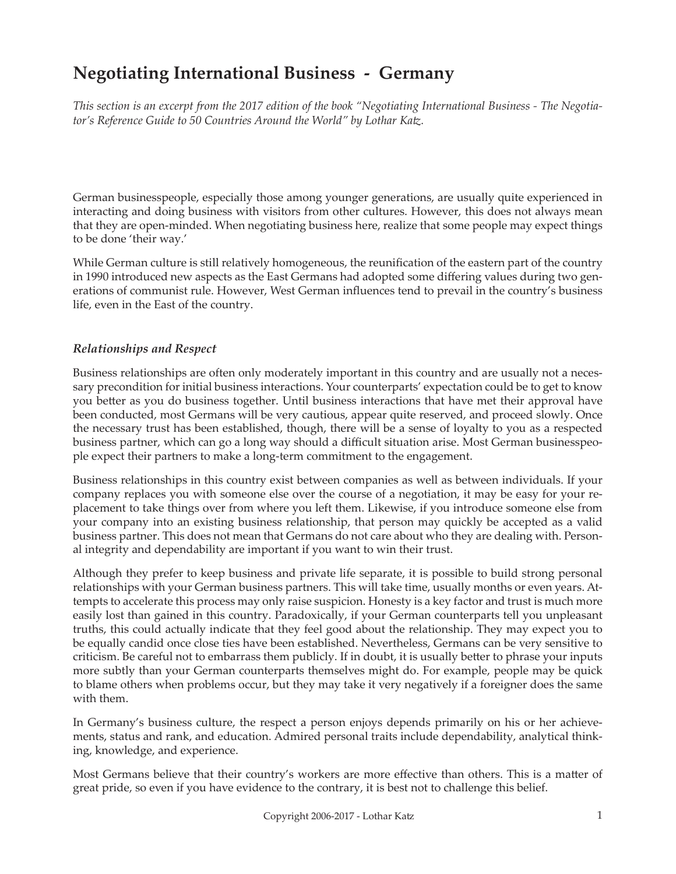# **Negotiating International Business - Germany**

*This section is an excerpt from the 2017 edition of the book "Negotiating International Business - The Negotiator's Reference Guide to 50 Countries Around the World" by Lothar Katz.*

German businesspeople, especially those among younger generations, are usually quite experienced in interacting and doing business with visitors from other cultures. However, this does not always mean that they are open-minded. When negotiating business here, realize that some people may expect things to be done 'their way.'

While German culture is still relatively homogeneous, the reunification of the eastern part of the country in 1990 introduced new aspects as the East Germans had adopted some differing values during two generations of communist rule. However, West German influences tend to prevail in the country's business life, even in the East of the country.

## *Relationships and Respect*

Business relationships are often only moderately important in this country and are usually not a necessary precondition for initial business interactions. Your counterparts' expectation could be to get to know you better as you do business together. Until business interactions that have met their approval have been conducted, most Germans will be very cautious, appear quite reserved, and proceed slowly. Once the necessary trust has been established, though, there will be a sense of loyalty to you as a respected business partner, which can go a long way should a difficult situation arise. Most German businesspeople expect their partners to make a long-term commitment to the engagement.

Business relationships in this country exist between companies as well as between individuals. If your company replaces you with someone else over the course of a negotiation, it may be easy for your replacement to take things over from where you left them. Likewise, if you introduce someone else from your company into an existing business relationship, that person may quickly be accepted as a valid business partner. This does not mean that Germans do not care about who they are dealing with. Personal integrity and dependability are important if you want to win their trust.

Although they prefer to keep business and private life separate, it is possible to build strong personal relationships with your German business partners. This will take time, usually months or even years. Attempts to accelerate this process may only raise suspicion. Honesty is a key factor and trust is much more easily lost than gained in this country. Paradoxically, if your German counterparts tell you unpleasant truths, this could actually indicate that they feel good about the relationship. They may expect you to be equally candid once close ties have been established. Nevertheless, Germans can be very sensitive to criticism. Be careful not to embarrass them publicly. If in doubt, it is usually better to phrase your inputs more subtly than your German counterparts themselves might do. For example, people may be quick to blame others when problems occur, but they may take it very negatively if a foreigner does the same with them.

In Germany's business culture, the respect a person enjoys depends primarily on his or her achievements, status and rank, and education. Admired personal traits include dependability, analytical thinking, knowledge, and experience.

Most Germans believe that their country's workers are more effective than others. This is a matter of great pride, so even if you have evidence to the contrary, it is best not to challenge this belief.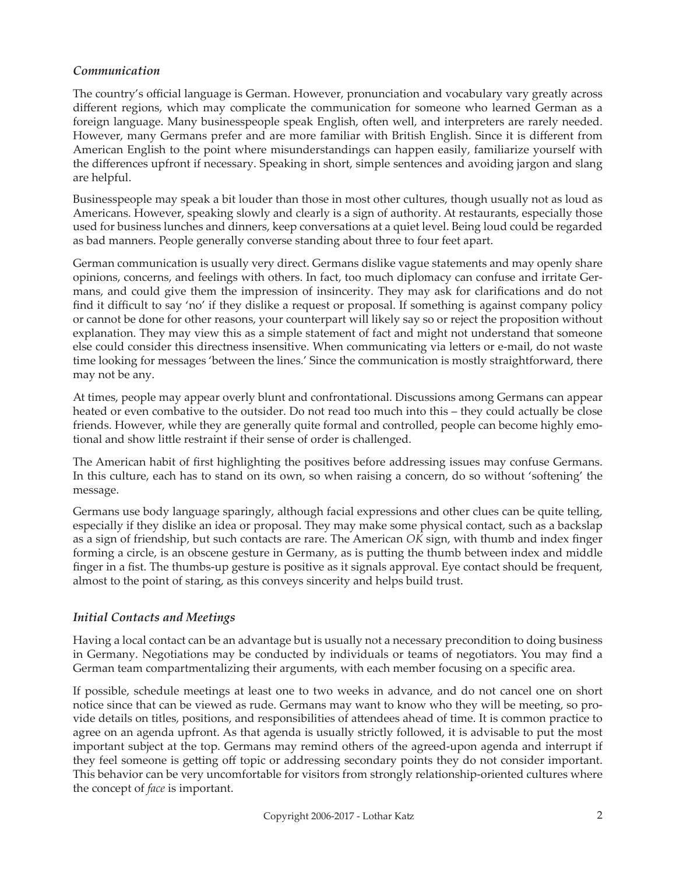#### *Communication*

The country's official language is German. However, pronunciation and vocabulary vary greatly across different regions, which may complicate the communication for someone who learned German as a foreign language. Many businesspeople speak English, often well, and interpreters are rarely needed. However, many Germans prefer and are more familiar with British English. Since it is different from American English to the point where misunderstandings can happen easily, familiarize yourself with the differences upfront if necessary. Speaking in short, simple sentences and avoiding jargon and slang are helpful.

Businesspeople may speak a bit louder than those in most other cultures, though usually not as loud as Americans. However, speaking slowly and clearly is a sign of authority. At restaurants, especially those used for business lunches and dinners, keep conversations at a quiet level. Being loud could be regarded as bad manners. People generally converse standing about three to four feet apart.

German communication is usually very direct. Germans dislike vague statements and may openly share opinions, concerns, and feelings with others. In fact, too much diplomacy can confuse and irritate Germans, and could give them the impression of insincerity. They may ask for clarifications and do not find it difficult to say 'no' if they dislike a request or proposal. If something is against company policy or cannot be done for other reasons, your counterpart will likely say so or reject the proposition without explanation. They may view this as a simple statement of fact and might not understand that someone else could consider this directness insensitive. When communicating via letters or e-mail, do not waste time looking for messages 'between the lines.' Since the communication is mostly straightforward, there may not be any.

At times, people may appear overly blunt and confrontational. Discussions among Germans can appear heated or even combative to the outsider. Do not read too much into this – they could actually be close friends. However, while they are generally quite formal and controlled, people can become highly emotional and show little restraint if their sense of order is challenged.

The American habit of first highlighting the positives before addressing issues may confuse Germans. In this culture, each has to stand on its own, so when raising a concern, do so without 'softening' the message.

Germans use body language sparingly, although facial expressions and other clues can be quite telling, especially if they dislike an idea or proposal. They may make some physical contact, such as a backslap as a sign of friendship, but such contacts are rare. The American *OK* sign, with thumb and index finger forming a circle, is an obscene gesture in Germany, as is putting the thumb between index and middle finger in a fist. The thumbs-up gesture is positive as it signals approval. Eye contact should be frequent, almost to the point of staring, as this conveys sincerity and helps build trust.

#### *Initial Contacts and Meetings*

Having a local contact can be an advantage but is usually not a necessary precondition to doing business in Germany. Negotiations may be conducted by individuals or teams of negotiators. You may find a German team compartmentalizing their arguments, with each member focusing on a specific area.

If possible, schedule meetings at least one to two weeks in advance, and do not cancel one on short notice since that can be viewed as rude. Germans may want to know who they will be meeting, so provide details on titles, positions, and responsibilities of attendees ahead of time. It is common practice to agree on an agenda upfront. As that agenda is usually strictly followed, it is advisable to put the most important subject at the top. Germans may remind others of the agreed-upon agenda and interrupt if they feel someone is getting off topic or addressing secondary points they do not consider important. This behavior can be very uncomfortable for visitors from strongly relationship-oriented cultures where the concept of *face* is important.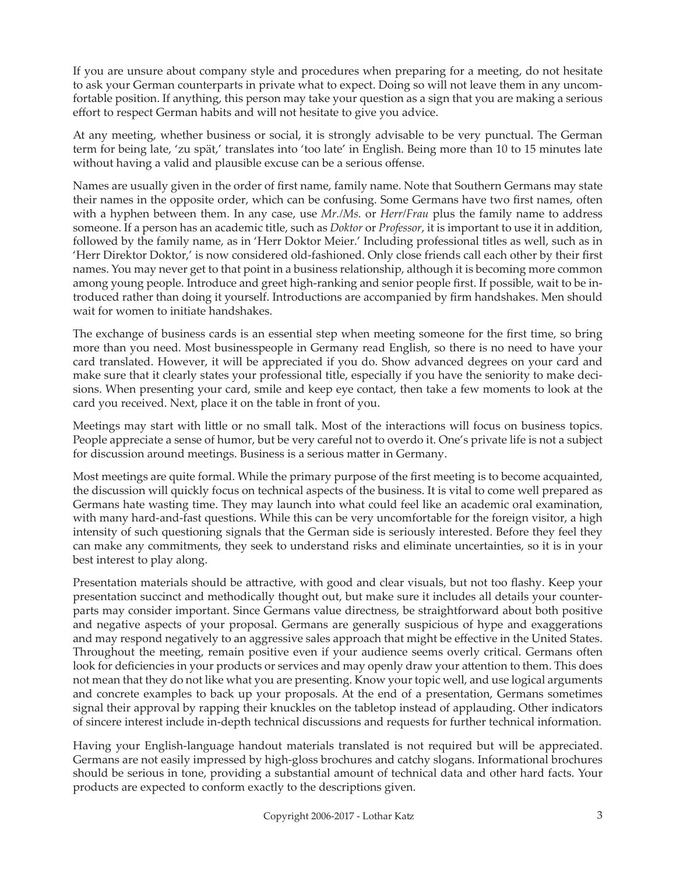If you are unsure about company style and procedures when preparing for a meeting, do not hesitate to ask your German counterparts in private what to expect. Doing so will not leave them in any uncomfortable position. If anything, this person may take your question as a sign that you are making a serious effort to respect German habits and will not hesitate to give you advice.

At any meeting, whether business or social, it is strongly advisable to be very punctual. The German term for being late, 'zu spät,' translates into 'too late' in English. Being more than 10 to 15 minutes late without having a valid and plausible excuse can be a serious offense.

Names are usually given in the order of first name, family name. Note that Southern Germans may state their names in the opposite order, which can be confusing. Some Germans have two first names, often with a hyphen between them. In any case, use *Mr./Ms.* or *Herr/Frau* plus the family name to address someone. If a person has an academic title, such as *Doktor* or *Professor*, it is important to use it in addition, followed by the family name, as in 'Herr Doktor Meier.' Including professional titles as well, such as in 'Herr Direktor Doktor,' is now considered old-fashioned. Only close friends call each other by their first names. You may never get to that point in a business relationship, although it is becoming more common among young people. Introduce and greet high-ranking and senior people first. If possible, wait to be introduced rather than doing it yourself. Introductions are accompanied by firm handshakes. Men should wait for women to initiate handshakes.

The exchange of business cards is an essential step when meeting someone for the first time, so bring more than you need. Most businesspeople in Germany read English, so there is no need to have your card translated. However, it will be appreciated if you do. Show advanced degrees on your card and make sure that it clearly states your professional title, especially if you have the seniority to make decisions. When presenting your card, smile and keep eye contact, then take a few moments to look at the card you received. Next, place it on the table in front of you.

Meetings may start with little or no small talk. Most of the interactions will focus on business topics. People appreciate a sense of humor, but be very careful not to overdo it. One's private life is not a subject for discussion around meetings. Business is a serious matter in Germany.

Most meetings are quite formal. While the primary purpose of the first meeting is to become acquainted, the discussion will quickly focus on technical aspects of the business. It is vital to come well prepared as Germans hate wasting time. They may launch into what could feel like an academic oral examination, with many hard-and-fast questions. While this can be very uncomfortable for the foreign visitor, a high intensity of such questioning signals that the German side is seriously interested. Before they feel they can make any commitments, they seek to understand risks and eliminate uncertainties, so it is in your best interest to play along.

Presentation materials should be attractive, with good and clear visuals, but not too flashy. Keep your presentation succinct and methodically thought out, but make sure it includes all details your counterparts may consider important. Since Germans value directness, be straightforward about both positive and negative aspects of your proposal. Germans are generally suspicious of hype and exaggerations and may respond negatively to an aggressive sales approach that might be effective in the United States. Throughout the meeting, remain positive even if your audience seems overly critical. Germans often look for deficiencies in your products or services and may openly draw your attention to them. This does not mean that they do not like what you are presenting. Know your topic well, and use logical arguments and concrete examples to back up your proposals. At the end of a presentation, Germans sometimes signal their approval by rapping their knuckles on the tabletop instead of applauding. Other indicators of sincere interest include in-depth technical discussions and requests for further technical information.

Having your English-language handout materials translated is not required but will be appreciated. Germans are not easily impressed by high-gloss brochures and catchy slogans. Informational brochures should be serious in tone, providing a substantial amount of technical data and other hard facts. Your products are expected to conform exactly to the descriptions given.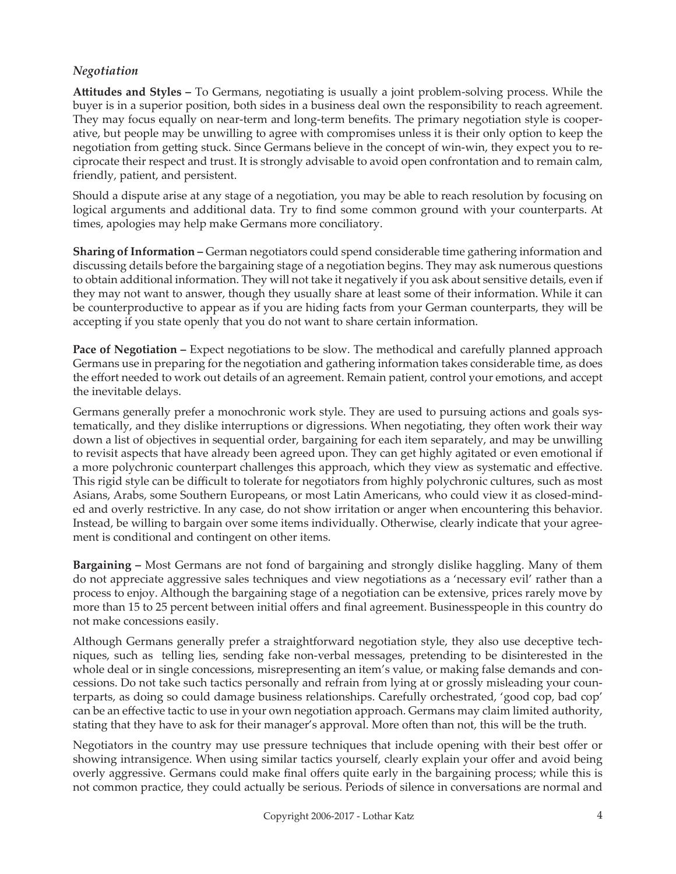#### *Negotiation*

**Attitudes and Styles –** To Germans, negotiating is usually a joint problem-solving process. While the buyer is in a superior position, both sides in a business deal own the responsibility to reach agreement. They may focus equally on near-term and long-term benefits. The primary negotiation style is cooperative, but people may be unwilling to agree with compromises unless it is their only option to keep the negotiation from getting stuck. Since Germans believe in the concept of win-win, they expect you to reciprocate their respect and trust. It is strongly advisable to avoid open confrontation and to remain calm, friendly, patient, and persistent.

Should a dispute arise at any stage of a negotiation, you may be able to reach resolution by focusing on logical arguments and additional data. Try to find some common ground with your counterparts. At times, apologies may help make Germans more conciliatory.

**Sharing of Information –** German negotiators could spend considerable time gathering information and discussing details before the bargaining stage of a negotiation begins. They may ask numerous questions to obtain additional information. They will not take it negatively if you ask about sensitive details, even if they may not want to answer, though they usually share at least some of their information. While it can be counterproductive to appear as if you are hiding facts from your German counterparts, they will be accepting if you state openly that you do not want to share certain information.

**Pace of Negotiation – Expect negotiations to be slow. The methodical and carefully planned approach** Germans use in preparing for the negotiation and gathering information takes considerable time, as does the effort needed to work out details of an agreement. Remain patient, control your emotions, and accept the inevitable delays.

Germans generally prefer a monochronic work style. They are used to pursuing actions and goals systematically, and they dislike interruptions or digressions. When negotiating, they often work their way down a list of objectives in sequential order, bargaining for each item separately, and may be unwilling to revisit aspects that have already been agreed upon. They can get highly agitated or even emotional if a more polychronic counterpart challenges this approach, which they view as systematic and effective. This rigid style can be difficult to tolerate for negotiators from highly polychronic cultures, such as most Asians, Arabs, some Southern Europeans, or most Latin Americans, who could view it as closed-minded and overly restrictive. In any case, do not show irritation or anger when encountering this behavior. Instead, be willing to bargain over some items individually. Otherwise, clearly indicate that your agreement is conditional and contingent on other items.

**Bargaining –** Most Germans are not fond of bargaining and strongly dislike haggling. Many of them do not appreciate aggressive sales techniques and view negotiations as a 'necessary evil' rather than a process to enjoy. Although the bargaining stage of a negotiation can be extensive, prices rarely move by more than 15 to 25 percent between initial offers and final agreement. Businesspeople in this country do not make concessions easily.

Although Germans generally prefer a straightforward negotiation style, they also use deceptive techniques, such as telling lies, sending fake non-verbal messages, pretending to be disinterested in the whole deal or in single concessions, misrepresenting an item's value, or making false demands and concessions. Do not take such tactics personally and refrain from lying at or grossly misleading your counterparts, as doing so could damage business relationships. Carefully orchestrated, 'good cop, bad cop' can be an effective tactic to use in your own negotiation approach. Germans may claim limited authority, stating that they have to ask for their manager's approval. More often than not, this will be the truth.

Negotiators in the country may use pressure techniques that include opening with their best offer or showing intransigence. When using similar tactics yourself, clearly explain your offer and avoid being overly aggressive. Germans could make final offers quite early in the bargaining process; while this is not common practice, they could actually be serious. Periods of silence in conversations are normal and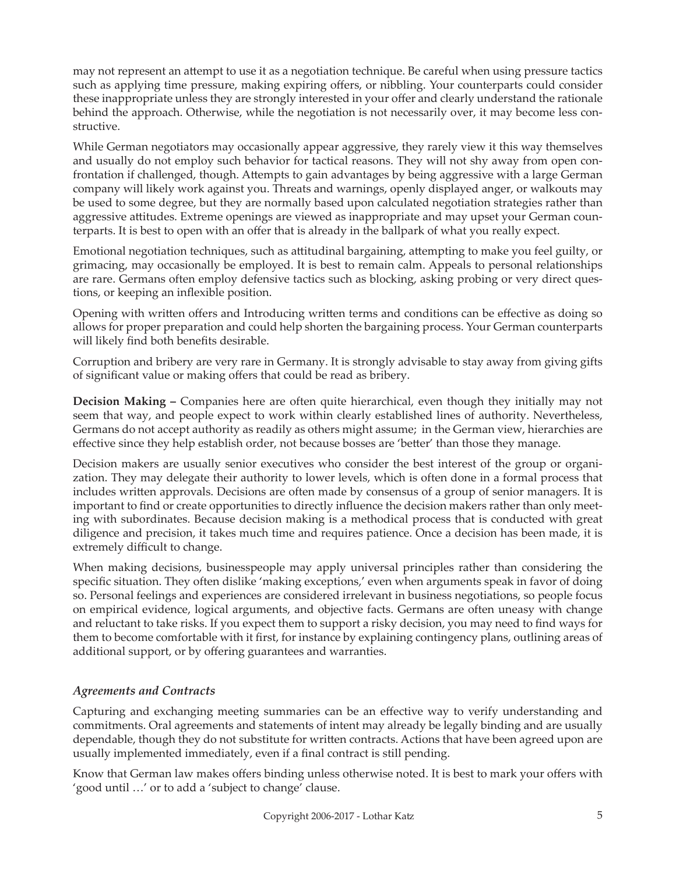may not represent an attempt to use it as a negotiation technique. Be careful when using pressure tactics such as applying time pressure, making expiring offers, or nibbling. Your counterparts could consider these inappropriate unless they are strongly interested in your offer and clearly understand the rationale behind the approach. Otherwise, while the negotiation is not necessarily over, it may become less constructive.

While German negotiators may occasionally appear aggressive, they rarely view it this way themselves and usually do not employ such behavior for tactical reasons. They will not shy away from open confrontation if challenged, though. Attempts to gain advantages by being aggressive with a large German company will likely work against you. Threats and warnings, openly displayed anger, or walkouts may be used to some degree, but they are normally based upon calculated negotiation strategies rather than aggressive attitudes. Extreme openings are viewed as inappropriate and may upset your German counterparts. It is best to open with an offer that is already in the ballpark of what you really expect.

Emotional negotiation techniques, such as attitudinal bargaining, attempting to make you feel guilty, or grimacing, may occasionally be employed. It is best to remain calm. Appeals to personal relationships are rare. Germans often employ defensive tactics such as blocking, asking probing or very direct questions, or keeping an inflexible position.

Opening with written offers and Introducing written terms and conditions can be effective as doing so allows for proper preparation and could help shorten the bargaining process. Your German counterparts will likely find both benefits desirable.

Corruption and bribery are very rare in Germany. It is strongly advisable to stay away from giving gifts of significant value or making offers that could be read as bribery.

**Decision Making –** Companies here are often quite hierarchical, even though they initially may not seem that way, and people expect to work within clearly established lines of authority. Nevertheless, Germans do not accept authority as readily as others might assume; in the German view, hierarchies are effective since they help establish order, not because bosses are 'better' than those they manage.

Decision makers are usually senior executives who consider the best interest of the group or organization. They may delegate their authority to lower levels, which is often done in a formal process that includes written approvals. Decisions are often made by consensus of a group of senior managers. It is important to find or create opportunities to directly influence the decision makers rather than only meeting with subordinates. Because decision making is a methodical process that is conducted with great diligence and precision, it takes much time and requires patience. Once a decision has been made, it is extremely difficult to change.

When making decisions, businesspeople may apply universal principles rather than considering the specific situation. They often dislike 'making exceptions,' even when arguments speak in favor of doing so. Personal feelings and experiences are considered irrelevant in business negotiations, so people focus on empirical evidence, logical arguments, and objective facts. Germans are often uneasy with change and reluctant to take risks. If you expect them to support a risky decision, you may need to find ways for them to become comfortable with it first, for instance by explaining contingency plans, outlining areas of additional support, or by offering guarantees and warranties.

# *Agreements and Contracts*

Capturing and exchanging meeting summaries can be an effective way to verify understanding and commitments. Oral agreements and statements of intent may already be legally binding and are usually dependable, though they do not substitute for written contracts. Actions that have been agreed upon are usually implemented immediately, even if a final contract is still pending.

Know that German law makes offers binding unless otherwise noted. It is best to mark your offers with 'good until …' or to add a 'subject to change' clause.